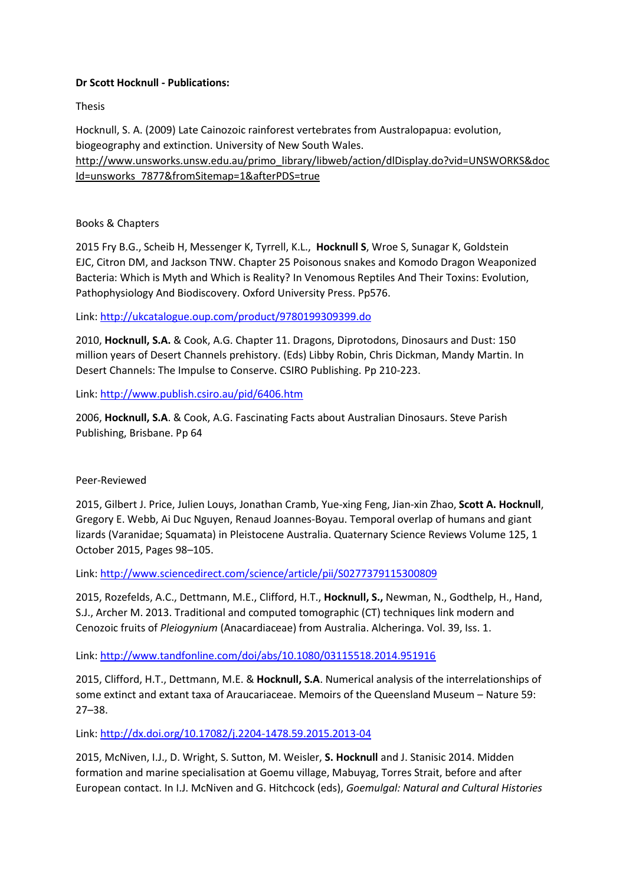## **Dr Scott Hocknull - Publications:**

Thesis

Hocknull, S. A. (2009) Late Cainozoic rainforest vertebrates from Australopapua: evolution, biogeography and extinction. University of New South Wales. [http://www.unsworks.unsw.edu.au/primo\\_library/libweb/action/dlDisplay.do?vid=UNSWORKS&doc](http://www.unsworks.unsw.edu.au/primo_library/libweb/action/dlDisplay.do?vid=UNSWORKS&docId=unsworks_7877&fromSitemap=1&afterPDS=true) [Id=unsworks\\_7877&fromSitemap=1&afterPDS=true](http://www.unsworks.unsw.edu.au/primo_library/libweb/action/dlDisplay.do?vid=UNSWORKS&docId=unsworks_7877&fromSitemap=1&afterPDS=true)

## Books & Chapters

2015 Fry B.G., Scheib H, Messenger K, Tyrrell, K.L., **Hocknull S**, Wroe S, Sunagar K, Goldstein EJC, Citron DM, and Jackson TNW. Chapter 25 Poisonous snakes and Komodo Dragon Weaponized Bacteria: Which is Myth and Which is Reality? In Venomous Reptiles And Their Toxins: Evolution, Pathophysiology And Biodiscovery. Oxford University Press. Pp576.

Link:<http://ukcatalogue.oup.com/product/9780199309399.do>

2010, **Hocknull, S.A.** & Cook, A.G. Chapter 11. Dragons, Diprotodons, Dinosaurs and Dust: 150 million years of Desert Channels prehistory. (Eds) Libby Robin, Chris Dickman, Mandy Martin. In Desert Channels: The Impulse to Conserve. CSIRO Publishing. Pp 210-223.

Link:<http://www.publish.csiro.au/pid/6406.htm>

2006, **Hocknull, S.A**. & Cook, A.G. Fascinating Facts about Australian Dinosaurs. Steve Parish Publishing, Brisbane. Pp 64

## Peer-Reviewed

2015[, Gilbert](http://www.sciencedirect.com/science/article/pii/S0277379115300809) J. Price, Julien [Louys, Jonathan](http://www.sciencedirect.com/science/article/pii/S0277379115300809) Cramb, [Yue-xing](http://www.sciencedirect.com/science/article/pii/S0277379115300809) Feng, [Jian-xin](http://www.sciencedirect.com/science/article/pii/S0277379115300809) Zhao, **Scott A. [Hocknull](http://www.sciencedirect.com/science/article/pii/S0277379115300809)**, [Gregory](http://www.sciencedirect.com/science/article/pii/S0277379115300809) E. Webb, Ai Duc [Nguyen,](http://www.sciencedirect.com/science/article/pii/S0277379115300809) Renaud [Joannes-Boyau.](http://www.sciencedirect.com/science/article/pii/S0277379115300809) Temporal overlap of humans and giant lizards (Varanidae; Squamata) in Pleistocene Australia[. Quaternary](http://www.sciencedirect.com/science/journal/02773791) Science Reviews [Volume](http://www.sciencedirect.com/science/journal/02773791/125/supp/C) 125, 1 October 2015, Pages 98–105.

Link:<http://www.sciencedirect.com/science/article/pii/S0277379115300809>

2015, Rozefelds, A.C., Dettmann, M.E., Clifford, H.T., **Hocknull, S.,** Newman, N., Godthelp, H., Hand, S.J., Archer M. 2013. Traditional and computed tomographic (CT) techniques link modern and Cenozoic fruits of *Pleiogynium* (Anacardiaceae) from Australia. Alcheringa. Vol. 39, Iss. 1.

Link:<http://www.tandfonline.com/doi/abs/10.1080/03115518.2014.951916>

2015, Clifford, H.T., Dettmann, M.E. & **Hocknull, S.A**. Numerical analysis of the interrelationships of some extinct and extant taxa of Araucariaceae. Memoirs of the Queensland Museum – Nature 59: 27–38.

Link:<http://dx.doi.org/10.17082/j.2204-1478.59.2015.2013-04>

2015, McNiven, I.J., D. Wright, S. Sutton, M. Weisler, **S. Hocknull** and J. Stanisic 2014. Midden formation and marine specialisation at Goemu village, Mabuyag, Torres Strait, before and after European contact. In I.J. McNiven and G. Hitchcock (eds), *Goemulgal: Natural and Cultural Histories*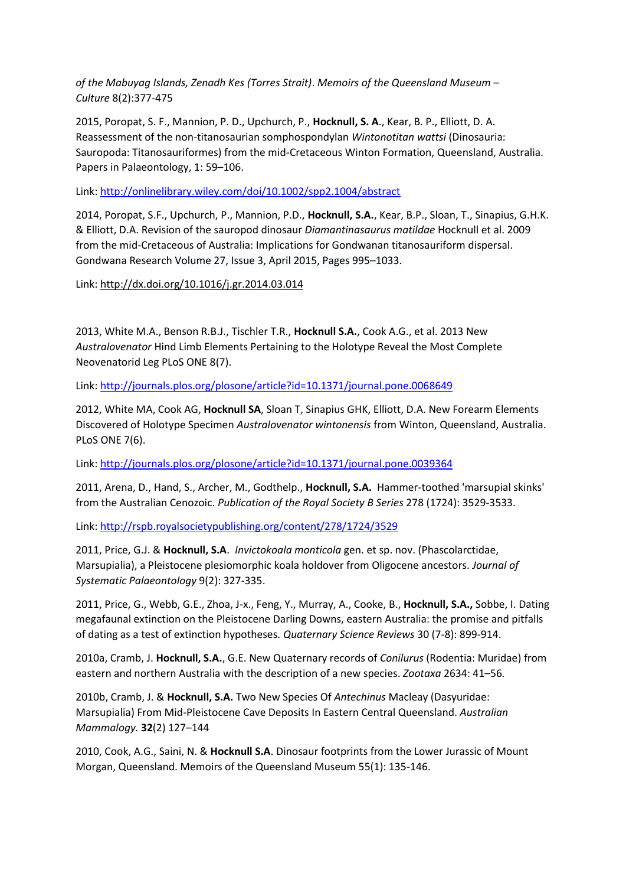*of the Mabuyag Islands, Zenadh Kes (Torres Strait)*. *Memoirs of the Queensland Museum – Culture* 8(2):377-475

2015, Poropat, S. F., Mannion, P. D., Upchurch, P., **Hocknull, S. A**., Kear, B. P., Elliott, D. A. Reassessment of the non-titanosaurian somphospondylan *Wintonotitan wattsi* (Dinosauria: Sauropoda: Titanosauriformes) from the mid-Cretaceous Winton Formation, Queensland, Australia. Papers in Palaeontology, 1: 59–106.

Link:<http://onlinelibrary.wiley.com/doi/10.1002/spp2.1004/abstract>

2014, Poropat, S.F., Upchurch, P., Mannion, P.D., **Hocknull, S.A.**, Kear, B.P., Sloan, T., Sinapius, G.H.K. & Elliott, D.A. Revision of the sauropod dinosaur *Diamantinasaurus matildae* Hocknull et al. 2009 from the mid-Cretaceous of Australia: Implications for Gondwanan titanosauriform dispersal. Gondwana Research [Volume](http://www.sciencedirect.com/science/journal/1342937X/27/3) 27, Issue 3, April 2015, Pages 995–1033.

Link:<http://dx.doi.org/10.1016/j.gr.2014.03.014>

2013, White M.A., Benson R.B.J., Tischler T.R., **Hocknull S.A.**, Cook A.G., et al. 2013 New *Australovenator* Hind Limb Elements Pertaining to the Holotype Reveal the Most Complete Neovenatorid Leg PLoS ONE 8(7).

Link:<http://journals.plos.org/plosone/article?id=10.1371/journal.pone.0068649>

2012, White MA, Cook AG, **Hocknull SA**, Sloan T, Sinapius GHK, Elliott, D.A. New Forearm Elements Discovered of Holotype Specimen *Australovenator wintonensis* from Winton, Queensland, Australia. PLoS ONE 7(6).

Link:<http://journals.plos.org/plosone/article?id=10.1371/journal.pone.0039364>

2011, Arena, D., Hand, S., Archer, M., Godthelp., **Hocknull, S.A.** Hammer-toothed 'marsupial skinks' from the Australian Cenozoic. *Publication of the Royal Society B Series* 278 (1724): 3529-3533.

Link:<http://rspb.royalsocietypublishing.org/content/278/1724/3529>

2011, Price, G.J. & **Hocknull, S.A**. *Invictokoala monticola* gen. et sp. nov. (Phascolarctidae, Marsupialia), a Pleistocene plesiomorphic koala holdover from Oligocene ancestors. *Journal of Systematic Palaeontology* 9(2): 327-335.

2011, Price, G., Webb, G.E., Zhoa, J-x., Feng, Y., Murray, A., Cooke, B., **Hocknull, S.A.,** Sobbe, I. Dating megafaunal extinction on the Pleistocene Darling Downs, eastern Australia: the promise and pitfalls of dating as a test of extinction hypotheses. *Quaternary Science Reviews* 30 (7-8): 899-914.

2010a, Cramb, J. **Hocknull, S.A.**, G.E. New Quaternary records of *Conilurus* (Rodentia: Muridae) from eastern and northern Australia with the description of a new species. *Zootaxa* 2634: 41–56*.*

2010b, Cramb, J. & **Hocknull, S.A.** Two New Species Of *Antechinus* Macleay (Dasyuridae: Marsupialia) From Mid-Pleistocene Cave Deposits In Eastern Central Queensland. *Australian Mammalogy.* **32**(2) 127–144

2010, Cook, A.G., Saini, N. & **Hocknull S.A**. Dinosaur footprints from the Lower Jurassic of Mount Morgan, Queensland. Memoirs of the Queensland Museum 55(1): 135-146.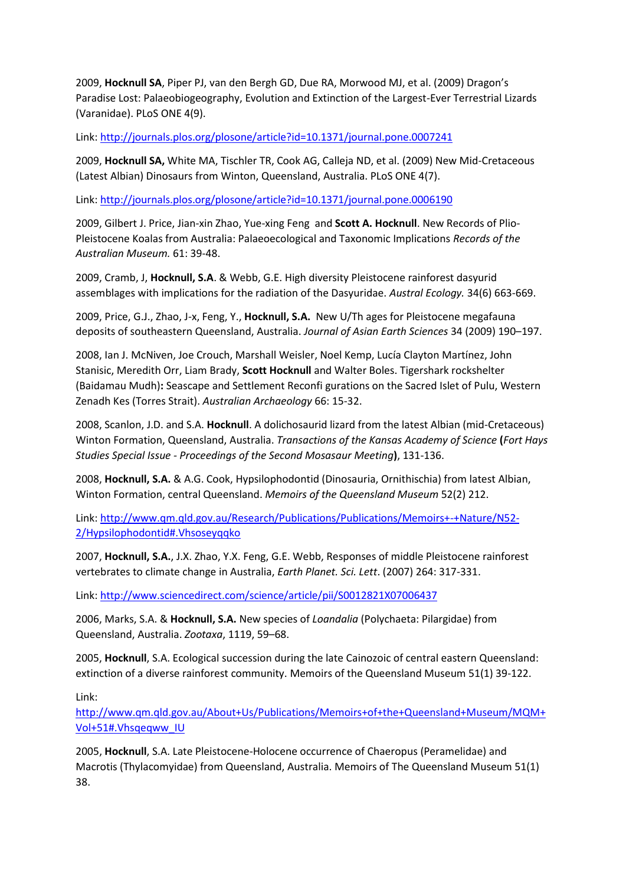2009, **Hocknull SA**, Piper PJ, van den Bergh GD, Due RA, Morwood MJ, et al. (2009) Dragon's Paradise Lost: Palaeobiogeography, Evolution and Extinction of the Largest-Ever Terrestrial Lizards (Varanidae). PLoS ONE 4(9).

Link:<http://journals.plos.org/plosone/article?id=10.1371/journal.pone.0007241>

2009, **Hocknull SA,** White MA, Tischler TR, Cook AG, Calleja ND, et al. (2009) New Mid-Cretaceous (Latest Albian) Dinosaurs from Winton, Queensland, Australia. PLoS ONE 4(7).

Link:<http://journals.plos.org/plosone/article?id=10.1371/journal.pone.0006190>

2009, Gilbert J. Price, Jian-xin Zhao, Yue-xing Feng and **Scott A. Hocknull**. New Records of Plio-Pleistocene Koalas from Australia: Palaeoecological and Taxonomic Implications *Records of the Australian Museum.* 61: 39-48.

2009, Cramb, J, **Hocknull, S.A**. & Webb, G.E. High diversity Pleistocene rainforest dasyurid assemblages with implications for the radiation of the Dasyuridae. *Austral Ecology.* 34(6) 663-669.

2009, Price, G.J., Zhao, J-x, Feng, Y., **Hocknull, S.A.** New U/Th ages for Pleistocene megafauna deposits of southeastern Queensland, Australia. *Journal of Asian Earth Sciences* 34 (2009) 190–197.

2008, Ian J. McNiven, Joe Crouch, Marshall Weisler, Noel Kemp, Lucía Clayton Martínez, John Stanisic, Meredith Orr, Liam Brady, **Scott Hocknull** and Walter Boles. Tigershark rockshelter (Baidamau Mudh)**:** Seascape and Settlement Reconfi gurations on the Sacred Islet of Pulu, Western Zenadh Kes (Torres Strait). *Australian Archaeology* 66: 15-32.

2008, Scanlon, J.D. and S.A. **Hocknull**. A dolichosaurid lizard from the latest Albian (mid-Cretaceous) Winton Formation, Queensland, Australia. *Transactions of the Kansas Academy of Science* **(***Fort Hays Studies Special Issue - Proceedings of the Second Mosasaur Meeting***)**, 131-136.

2008, **Hocknull, S.A.** & A.G. Cook, Hypsilophodontid (Dinosauria, Ornithischia) from latest Albian, Winton Formation, central Queensland. *Memoirs of the Queensland Museum* 52(2) 212.

Link: [http://www.qm.qld.gov.au/Research/Publications/Publications/Memoirs+-+Nature/N52-](http://www.qm.qld.gov.au/Research/Publications/Publications/Memoirs+-+Nature/N52-2/Hypsilophodontid#.Vhsoseyqqko) [2/Hypsilophodontid#.Vhsoseyqqko](http://www.qm.qld.gov.au/Research/Publications/Publications/Memoirs+-+Nature/N52-2/Hypsilophodontid#.Vhsoseyqqko)

2007, **Hocknull, S.A.**, J.X. Zhao, Y.X. Feng, G.E. Webb, Responses of middle Pleistocene rainforest vertebrates to climate change in Australia, *Earth Planet. Sci. Lett*. (2007) 264: 317-331.

Link:<http://www.sciencedirect.com/science/article/pii/S0012821X07006437>

2006, Marks, S.A. & **Hocknull, S.A.** New species of *Loandalia* (Polychaeta: Pilargidae) from Queensland, Australia. *Zootaxa*, 1119, 59–68.

2005, **Hocknull**, S.A. Ecological succession during the late Cainozoic of central eastern Queensland: extinction of a diverse rainforest community. Memoirs of the Queensland Museum 51(1) 39-122.

Link:

[http://www.qm.qld.gov.au/About+Us/Publications/Memoirs+of+the+Queensland+Museum/MQM+](http://www.qm.qld.gov.au/About+Us/Publications/Memoirs+of+the+Queensland+Museum/MQM+Vol+51#.Vhsqeqww_IU) [Vol+51#.Vhsqeqww\\_IU](http://www.qm.qld.gov.au/About+Us/Publications/Memoirs+of+the+Queensland+Museum/MQM+Vol+51#.Vhsqeqww_IU)

2005, **Hocknull**, S.A. Late Pleistocene-Holocene occurrence of Chaeropus (Peramelidae) and Macrotis (Thylacomyidae) from Queensland, Australia. Memoirs of The Queensland Museum 51(1) 38.